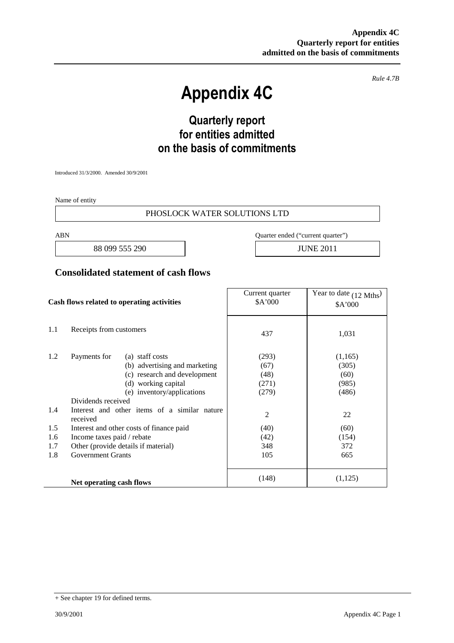*Rule 4.7B*

# **Appendix 4C**

## **Quarterly report for entities admitted on the basis of commitments**

Introduced 31/3/2000. Amended 30/9/2001

Name of entity

#### PHOSLOCK WATER SOLUTIONS LTD

88 099 555 290 JUNE 2011

ABN Quarter ended ("current quarter")

#### **Consolidated statement of cash flows**

| Cash flows related to operating activities |                                                                  | Current quarter<br>\$A'000 | Year to date (12 Mths)<br>\$A'000 |
|--------------------------------------------|------------------------------------------------------------------|----------------------------|-----------------------------------|
| 1.1                                        | Receipts from customers                                          | 437                        | 1,031                             |
| 1.2                                        | Payments for<br>(a) staff costs<br>(b) advertising and marketing | (293)<br>(67)              | (1,165)<br>(305)                  |
|                                            | (c) research and development                                     | (48)                       | (60)                              |
|                                            | (d) working capital                                              | (271)                      | (985)                             |
|                                            | (e) inventory/applications                                       | (279)                      | (486)                             |
|                                            | Dividends received                                               |                            |                                   |
| 1.4                                        | Interest and other items of a similar nature<br>received         | $\overline{2}$             | 22                                |
| 1.5                                        | Interest and other costs of finance paid                         | (40)                       | (60)                              |
| 1.6                                        | Income taxes paid / rebate                                       | (42)                       | (154)                             |
| 1.7                                        | Other (provide details if material)                              | 348                        | 372                               |
| 1.8                                        | <b>Government Grants</b>                                         | 105                        | 665                               |
|                                            | Net operating cash flows                                         | (148)                      | (1,125)                           |

<sup>+</sup> See chapter 19 for defined terms.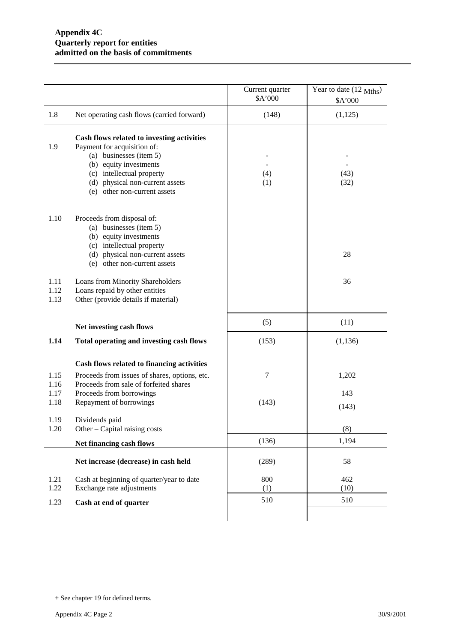|                              |                                                                                                                                                                                                                                | Current quarter<br>\$A'000 | Year to date (12 Mths)<br>\$A'000 |
|------------------------------|--------------------------------------------------------------------------------------------------------------------------------------------------------------------------------------------------------------------------------|----------------------------|-----------------------------------|
| 1.8                          | Net operating cash flows (carried forward)                                                                                                                                                                                     | (148)                      | (1,125)                           |
| 1.9                          | Cash flows related to investing activities<br>Payment for acquisition of:<br>(a) businesses (item 5)<br>(b) equity investments<br>(c) intellectual property<br>(d) physical non-current assets<br>(e) other non-current assets | (4)<br>(1)                 | (43)<br>(32)                      |
| 1.10                         | Proceeds from disposal of:<br>(a) businesses (item 5)<br>(b) equity investments<br>(c) intellectual property<br>(d) physical non-current assets<br>(e) other non-current assets                                                |                            | 28                                |
| 1.11<br>1.12<br>1.13         | Loans from Minority Shareholders<br>Loans repaid by other entities<br>Other (provide details if material)                                                                                                                      |                            | 36                                |
|                              | Net investing cash flows                                                                                                                                                                                                       | (5)                        | (11)                              |
| 1.14                         | Total operating and investing cash flows                                                                                                                                                                                       | (153)                      | (1, 136)                          |
| 1.15<br>1.16<br>1.17<br>1.18 | Cash flows related to financing activities<br>Proceeds from issues of shares, options, etc.<br>Proceeds from sale of forfeited shares<br>Proceeds from borrowings<br>Repayment of borrowings                                   | 7<br>(143)                 | 1,202<br>143<br>(143)             |
| 1.19<br>1.20                 | Dividends paid<br>Other – Capital raising costs                                                                                                                                                                                |                            | (8)                               |
|                              | Net financing cash flows                                                                                                                                                                                                       | (136)                      | 1,194                             |
|                              | Net increase (decrease) in cash held                                                                                                                                                                                           | (289)                      | 58                                |
| 1.21<br>1.22<br>1.23         | Cash at beginning of quarter/year to date<br>Exchange rate adjustments<br>Cash at end of quarter                                                                                                                               | 800<br>(1)<br>510          | 462<br>(10)<br>510                |
|                              |                                                                                                                                                                                                                                |                            |                                   |

<sup>+</sup> See chapter 19 for defined terms.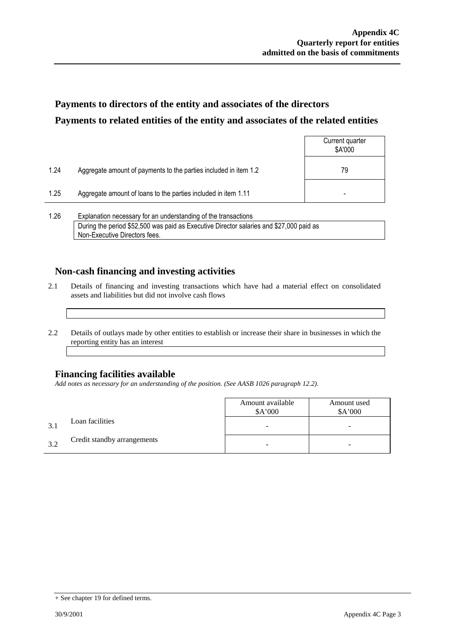### **Payments to directors of the entity and associates of the directors Payments to related entities of the entity and associates of the related entities**

|      |                                                                  | Current quarter<br>\$A'000 |
|------|------------------------------------------------------------------|----------------------------|
| 1.24 | Aggregate amount of payments to the parties included in item 1.2 | 79                         |
| 1.25 | Aggregate amount of loans to the parties included in item 1.11   |                            |
|      |                                                                  |                            |

1.26 Explanation necessary for an understanding of the transactions During the period \$52,500 was paid as Executive Director salaries and \$27,000 paid as Non-Executive Directors fees.

### **Non-cash financing and investing activities**

- 2.1 Details of financing and investing transactions which have had a material effect on consolidated assets and liabilities but did not involve cash flows
- 2.2 Details of outlays made by other entities to establish or increase their share in businesses in which the reporting entity has an interest

### **Financing facilities available**

*Add notes as necessary for an understanding of the position. (See AASB 1026 paragraph 12.2).*

|              |                             | Amount available<br>\$A'000 | Amount used<br>\$A'000   |
|--------------|-----------------------------|-----------------------------|--------------------------|
| $\mathbf{R}$ | Loan facilities             | -                           | $\overline{\phantom{0}}$ |
| 32           | Credit standby arrangements |                             | -                        |

<sup>+</sup> See chapter 19 for defined terms.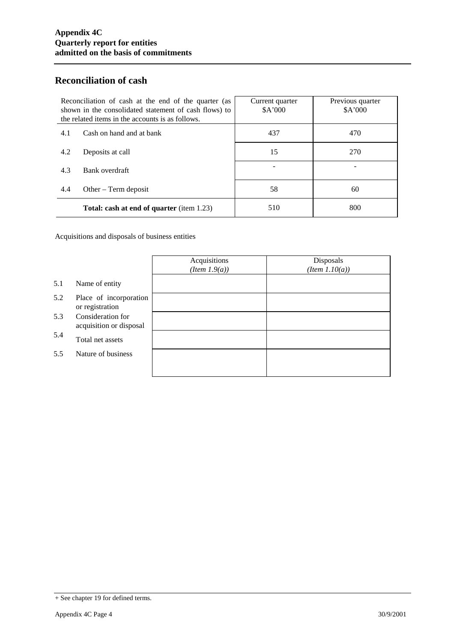### **Reconciliation of cash**

| Reconciliation of cash at the end of the quarter (as<br>shown in the consolidated statement of cash flows) to<br>the related items in the accounts is as follows. |                                                  | Current quarter<br>\$A'000 | Previous quarter<br>\$A'000 |
|-------------------------------------------------------------------------------------------------------------------------------------------------------------------|--------------------------------------------------|----------------------------|-----------------------------|
| 4.1                                                                                                                                                               | Cash on hand and at bank                         | 437                        | 470                         |
| 4.2                                                                                                                                                               | Deposits at call                                 | 15                         | 270                         |
| 4.3                                                                                                                                                               | Bank overdraft                                   |                            |                             |
| 4.4                                                                                                                                                               | Other $-$ Term deposit                           | 58                         | 60                          |
|                                                                                                                                                                   | <b>Total: cash at end of quarter</b> (item 1.23) | 510                        | 800                         |

Acquisitions and disposals of business entities

|     |                                              | Acquisitions<br>$(Item\ 1.9(a))$ | Disposals<br>$(Item\ 1.10(a))$ |
|-----|----------------------------------------------|----------------------------------|--------------------------------|
| 5.1 | Name of entity                               |                                  |                                |
| 5.2 | Place of incorporation<br>or registration    |                                  |                                |
| 5.3 | Consideration for<br>acquisition or disposal |                                  |                                |
| 5.4 | Total net assets                             |                                  |                                |
| 5.5 | Nature of business                           |                                  |                                |
|     |                                              |                                  |                                |

<sup>+</sup> See chapter 19 for defined terms.